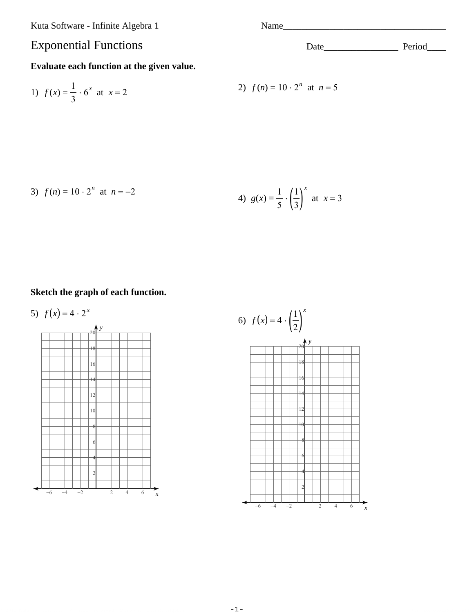Kuta Software - Infinite Algebra 1

## **Exponential Functions**

#### Evaluate each function at the given value.

1) 
$$
f(x) = \frac{1}{3} \cdot 6^x
$$
 at  $x = 2$   
2)  $f(n) = 10 \cdot 2^n$  at  $n = 5$ 

3) 
$$
f(n) = 10 \cdot 2^n
$$
 at  $n = -2$   
4)  $g(x) = \frac{1}{5} \cdot \left(\frac{1}{3}\right)^x$  at  $x = 3$ 

#### Sketch the graph of each function.

5) 
$$
f(x) = 4 \cdot 2^{x}
$$
  
\n  
\n $f(x) = 4 \cdot 2^{x}$   
\n  
\n $f(x) = 4 \cdot 2^{x}$   
\n  
\n $f(x) = 4 \cdot 2^{x}$   
\n  
\n $f(x) = 4 \cdot 2^{x}$   
\n  
\n $f(x) = 4 \cdot 2^{x}$   
\n  
\n $f(x) = 4 \cdot 2^{x}$   
\n  
\n $f(x) = 4 \cdot 2^{x}$   
\n  
\n $f(x) = 4 \cdot 2^{x}$   
\n $f(x) = 4 \cdot 2^{x}$   
\n $f(x) = 4 \cdot 2^{x}$   
\n $f(x) = 4 \cdot 2^{x}$   
\n $f(x) = 4 \cdot 2^{x}$   
\n $f(x) = 4 \cdot 2^{x}$   
\n $f(x) = 4 \cdot 2^{x}$   
\n $f(x) = 4 \cdot 2^{x}$   
\n $f(x) = 4 \cdot 2^{x}$   
\n $f(x) = 4 \cdot 2^{x}$   
\n $f(x) = 4 \cdot 2^{x}$   
\n $f(x) = 4 \cdot 2^{x}$   
\n $f(x) = 4 \cdot 2^{x}$   
\n $f(x) = 4 \cdot 2^{x}$   
\n $f(x) = 4 \cdot 2^{x}$   
\n $f(x) = 4 \cdot 2^{x}$   
\n $f(x) = 4 \cdot 2^{x}$   
\n $f(x) = 4 \cdot 2^{x}$   
\n $f(x) = 4 \cdot 2^{x}$   
\n $f(x) = 4 \cdot 2^{x}$   
\n $f(x) = 4 \cdot 2^{x}$   
\n $f(x) = 4 \cdot 2^{x}$   
\n $f(x) = 4 \cdot 2^{x}$   
\n $f(x) = 4 \cdot 2^{x}$   
\n $f(x) = 4 \cdot 2^{x}$   
\n $f(x) = 4 \cdot 2^{x}$   
\n $f(x) = 4 \cdot 2^{x}$   
\n $f(x) = 4 \cdot 2^{x}$   
\n $f(x) = 4 \cdot 2^{x}$   
\

6) 
$$
f(x) = 4 \cdot \left(\frac{1}{2}\right)^x
$$
  
\n $\begin{array}{r}18 \\
18 \\
14\n\end{array}$   
\n $\begin{array}{r}16 \\
14 \\
14\n\end{array}$   
\n $\begin{array}{r}12 \\
12 \\
6 \\
6\n\end{array}$   
\n $\begin{array}{r}6 \\
6 \\
-6 \\
-4 \\
-2\n\end{array}$   
\n $\begin{array}{r}2 \\
2 \\
2 \\
4 \\
6\n\end{array}$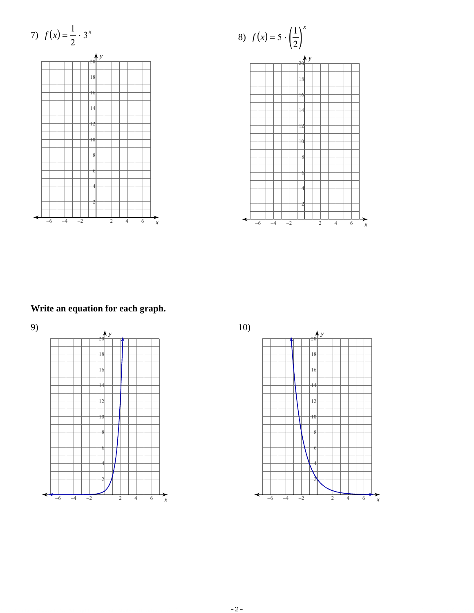7) 
$$
f(x) = \frac{1}{2} \cdot 3^x
$$







# Write an equation for each graph.



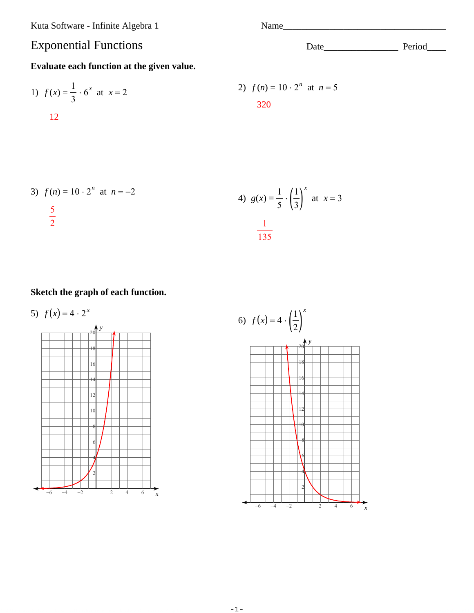Kuta Software - Infinite Algebra 1

# **Exponential Functions**

### Evaluate each function at the given value.

1) 
$$
f(x) = \frac{1}{3} \cdot 6^x
$$
 at  $x = 2$   
12  
2)  $f(n) = 10 \cdot 2^n$  at  $n = 5$   
320

3) 
$$
f(n) = 10 \cdot 2^n
$$
 at  $n = -2$   
\n $\frac{5}{2}$   
\n4)  $g(x) = \frac{1}{5} \cdot \left(\frac{1}{3}\right)^x$  at  $x = 3$   
\n $\frac{1}{135}$ 

## Sketch the graph of each function.

5) 
$$
f(x) = 4 \cdot 2^{x}
$$
  
\n  
\n $\begin{array}{r}18 \\
16 \\
14 \\
22 \\
6\n\end{array}$   
\n6  
\n6  
\n7  
\n9  
\n10  
\n8  
\n6  
\n14  
\n12  
\n2  
\n2  
\n4  
\n6  
\n7  
\n8  
\n9  
\n10  
\n12  
\n2  
\n4  
\n6  
\n7  
\n8  
\n9  
\n10  
\n11  
\n12  
\n2  
\n2  
\n4  
\n6  
\n7  
\n8  
\n9  
\n10  
\n11  
\n12  
\n13  
\n14  
\n15  
\n16  
\n18  
\n19  
\n10  
\n11  
\n12  
\n13  
\n14  
\n15  
\n16  
\n18  
\n19  
\n10  
\n11  
\n12  
\n13  
\n14  
\n15  
\n16  
\n18  
\n19  
\n10  
\n11  
\n12  
\n13  
\n14  
\n15  
\n16  
\n18  
\n19  
\n10  
\n11  
\n12  
\n13  
\n14  
\n15  
\n16  
\n18  
\n19  
\n10  
\n11  
\n12  
\n13  
\n14  
\n15  
\n16  
\n18  
\n19  
\n10  
\n11  
\n12  
\n13  
\n14  
\n15  
\n16  
\n18  
\n19  
\n10  
\n11  
\n12  
\n13  
\n14  
\n15  
\n16  
\n18  
\n19  
\n10  
\n11  
\n12  
\n13  
\n14  
\n15  
\n16  
\n18  
\n19  
\n10  
\n11  
\n12  
\n13  
\n14  
\n15  
\n16  
\n17  
\n18  
\n19  
\n10  
\n11  
\n12  
\n13  
\n14  
\n15  
\n16  
\n18  
\n19  
\n10  
\n11  
\n12  
\n13  
\n14  
\n15  
\n16  
\n18  
\n19  
\n10  
\n11  
\n12  
\n13

#